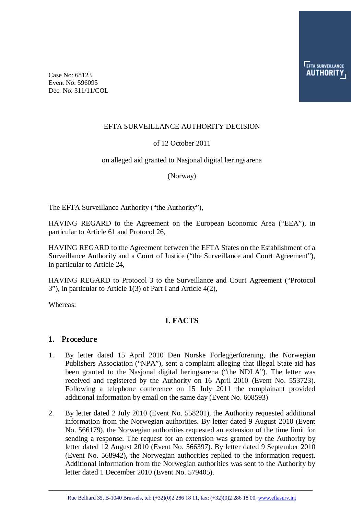Case No: 68123 Event No: 596095 Dec. No: 311/11/COL

#### EFTA SURVEILLANCE AUTHORITY DECISION

#### of 12 October 2011

#### on alleged aid granted to Nasjonal digital læringsarena

(Norway)

The EFTA Surveillance Authority ("the Authority"),

HAVING REGARD to the Agreement on the European Economic Area ("EEA"), in particular to Article 61 and Protocol 26,

HAVING REGARD to the Agreement between the EFTA States on the Establishment of a Surveillance Authority and a Court of Justice ("the Surveillance and Court Agreement"), in particular to Article 24,

HAVING REGARD to Protocol 3 to the Surveillance and Court Agreement ("Protocol 3"), in particular to Article 1(3) of Part I and Article 4(2),

Whereas:

### **I. FACTS**

#### 1. Procedure

- 1. By letter dated 15 April 2010 Den Norske Forleggerforening, the Norwegian Publishers Association ("NPA"), sent a complaint alleging that illegal State aid has been granted to the Nasjonal digital læringsarena ("the NDLA"). The letter was received and registered by the Authority on 16 April 2010 (Event No. 553723). Following a telephone conference on 15 July 2011 the complainant provided additional information by email on the same day (Event No. 608593)
- 2. By letter dated 2 July 2010 (Event No. 558201), the Authority requested additional information from the Norwegian authorities. By letter dated 9 August 2010 (Event No. 566179), the Norwegian authorities requested an extension of the time limit for sending a response. The request for an extension was granted by the Authority by letter dated 12 August 2010 (Event No. 566397). By letter dated 9 September 2010 (Event No. 568942), the Norwegian authorities replied to the information request. Additional information from the Norwegian authorities was sent to the Authority by letter dated 1 December 2010 (Event No. 579405).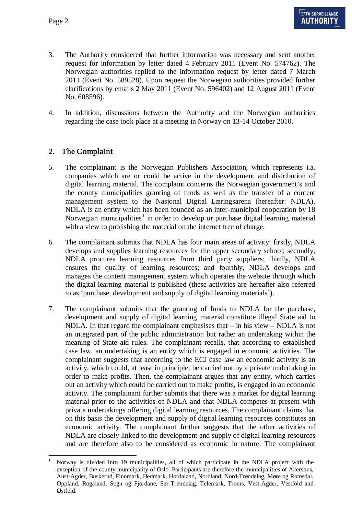- 3. The Authority considered that further information was necessary and sent another request for information by letter dated 4 February 2011 (Event No. 574762). The Norwegian authorities replied to the information request by letter dated 7 March 2011 (Event No. 589528). Upon request the Norwegian authorities provided further clarifications by emails 2 May 2011 (Event No. 596402) and 12 August 2011 (Event No. 608596).
- 4. In addition, discussions between the Authority and the Norwegian authorities regarding the case took place at a meeting in Norway on 13-14 October 2010.

# 2. The Complaint

- 5. The complainant is the Norwegian Publishers Association, which represents i.a. companies which are or could be active in the development and distribution of digital learning material. The complaint concerns the Norwegian government's and the county municipalities granting of funds as well as the transfer of a content management system to the Nasjonal Digital Læringsarena (hereafter: NDLA). NDLA is an entity which has been founded as an inter-municipal cooperation by 18 Norwegian municipalities<sup>[1](#page-1-0)</sup> in order to develop or purchase digital learning material with a view to publishing the material on the internet free of charge.
- 6. The complainant submits that NDLA has four main areas of activity: firstly, NDLA develops and supplies learning resources for the upper secondary school; secondly, NDLA procures learning resources from third party suppliers; thirdly, NDLA ensures the quality of learning resources; and fourthly, NDLA develops and manages the content management system which operates the website through which the digital learning material is published (these activities are hereafter also referred to as 'purchase, development and supply of digital learning materials').
- 7. The complainant submits that the granting of funds to NDLA for the purchase, development and supply of digital learning material constitute illegal State aid to NDLA. In that regard the complainant emphasises that  $-$  in his view  $-$  NDLA is not an integrated part of the public administration but rather an undertaking within the meaning of State aid rules. The complainant recalls, that according to established case law, an undertaking is an entity which is engaged in economic activities. The complainant suggests that according to the ECJ case law an economic activity is an activity, which could, at least in principle, be carried out by a private undertaking in order to make profits. Then, the complainant argues that any entity, which carries out an activity which could be carried out to make profits, is engaged in an economic activity. The complainant further submits that there was a market for digital learning material prior to the activities of NDLA and that NDLA competes at present with private undertakings offering digital learning resources. The complainant claims that on this basis the development and supply of digital learning resources constitutes an economic activity. The complainant further suggests that the other activities of NDLA are closely linked to the development and supply of digital learning resources and are therefore also to be considered as economic in nature. The complainant

<span id="page-1-0"></span> <sup>1</sup> Norway is divided into 19 municipalities, all of which participate in the NDLA project with the exception of the county municipality of Oslo. Participants are therefore the municipalities of Akershus, Aust-Agder, Buskerud, Finnmark, Hedmark, Hordaland, Nordland, Nord-Trøndelag, Møre og Romsdal, Oppland, Rogaland, Sogn og Fjordane, Sør-Trøndelag, Telemark, Troms, Vest-Agder, Vestfold and Østfold.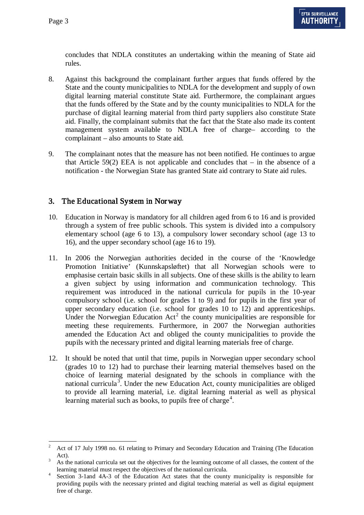concludes that NDLA constitutes an undertaking within the meaning of State aid rules.

- 8. Against this background the complainant further argues that funds offered by the State and the county municipalities to NDLA for the development and supply of own digital learning material constitute State aid. Furthermore, the complainant argues that the funds offered by the State and by the county municipalities to NDLA for the purchase of digital learning material from third party suppliers also constitute State aid. Finally, the complainant submits that the fact that the State also made its content management system available to NDLA free of charge– according to the complainant – also amounts to State aid.
- 9. The complainant notes that the measure has not been notified. He continues to argue that Article  $59(2)$  EEA is not applicable and concludes that – in the absence of a notification - the Norwegian State has granted State aid contrary to State aid rules.

## 3. The Educational System in Nor way

- 10. Education in Norway is mandatory for all children aged from 6 to 16 and is provided through a system of free public schools. This system is divided into a compulsory elementary school (age 6 to 13), a compulsory lower secondary school (age 13 to 16), and the upper secondary school (age 16 to 19).
- 11. In 2006 the Norwegian authorities decided in the course of the 'Knowledge Promotion Initiative' (Kunnskapsløftet) that all Norwegian schools were to emphasise certain basic skills in all subjects. One of these skills is the ability to learn a given subject by using information and communication technology. This requirement was introduced in the national curricula for pupils in the 10-year compulsory school (i.e. school for grades 1 to 9) and for pupils in the first year of upper secondary education (i.e. school for grades 10 to 12) and apprenticeships. Under the Norwegian Education  $Act^2$  $Act^2$  the county municipalities are responsible for meeting these requirements. Furthermore, in 2007 the Norwegian authorities amended the Education Act and obliged the county municipalities to provide the pupils with the necessary printed and digital learning materials free of charge.
- 12. It should be noted that until that time, pupils in Norwegian upper secondary school (grades 10 to 12) had to purchase their learning material themselves based on the choice of learning material designated by the schools in compliance with the national curricula<sup>[3](#page-2-1)</sup>. Under the new Education Act, county municipalities are obliged to provide all learning material, i.e. digital learning material as well as physical learning material such as books, to pupils free of charge<sup>[4](#page-2-2)</sup>.

<span id="page-2-0"></span><sup>&</sup>lt;sup>2</sup> Act of 17 July 1998 no. 61 relating to Primary and Secondary Education and Training (The Education Act).

<span id="page-2-1"></span><sup>&</sup>lt;sup>3</sup> As the national curricula set out the objectives for the learning outcome of all classes, the content of the

<span id="page-2-2"></span>learning material must respect the objectives of the national curricula. <sup>4</sup> Section 3-1and 4A-3 of the Education Act states that the county municipality is responsible for providing pupils with the necessary printed and digital teaching material as well as digital equipment free of charge.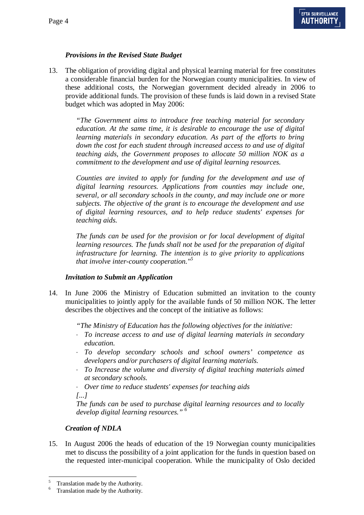### *Provisions in the Revised State Budget*

13. The obligation of providing digital and physical learning material for free constitutes a considerable financial burden for the Norwegian county municipalities. In view of these additional costs, the Norwegian government decided already in 2006 to provide additional funds. The provision of these funds is laid down in a revised State budget which was adopted in May 2006:

> *"The Government aims to introduce free teaching material for secondary education. At the same time, it is desirable to encourage the use of digital learning materials in secondary education. As part of the efforts to bring down the cost for each student through increased access to and use of digital teaching aids, the Government proposes to allocate 50 million NOK as a commitment to the development and use of digital learning resources.*

> *Counties are invited to apply for funding for the development and use of digital learning resources. Applications from counties may include one, several, or all secondary schools in the county, and may include one or more subjects. The objective of the grant is to encourage the development and use of digital learning resources, and to help reduce students' expenses for teaching aids.*

> *The funds can be used for the provision or for local development of digital learning resources. The funds shall not be used for the preparation of digital infrastructure for learning. The intention is to give priority to applications that involve inter-county cooperation." [5](#page-3-0)*

### *Invitation to Submit an Application*

14. In June 2006 the Ministry of Education submitted an invitation to the county municipalities to jointly apply for the available funds of 50 million NOK. The letter describes the objectives and the concept of the initiative as follows:

*"The Ministry of Education has the following objectives for the initiative:*

- ⋅ *To increase access to and use of digital learning materials in secondary education.*
- ⋅ *To develop secondary schools and school owners' competence as developers and/or purchasers of digital learning materials.*
- To Increase the volume and diversity of digital teaching materials aimed *at secondary schools.*

⋅ *Over time to reduce students' expenses for teaching aids [...]*

*The funds can be used to purchase digital learning resources and to locally develop digital learning resources." [6](#page-3-1)*

### *Creation of NDLA*

15. In August 2006 the heads of education of the 19 Norwegian county municipalities met to discuss the possibility of a joint application for the funds in question based on the requested inter-municipal cooperation. While the municipality of Oslo decided

<span id="page-3-1"></span><span id="page-3-0"></span> $5 \nTranslation made by the Authority. Translation made by the Authority.$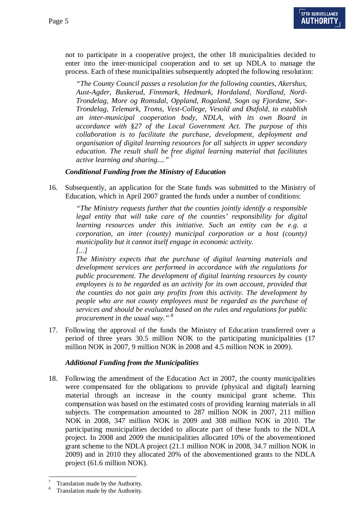not to participate in a cooperative project, the other 18 municipalities decided to enter into the inter-municipal cooperation and to set up NDLA to manage the process. Each of these municipalities subsequently adopted the following resolution:

*"The County Council passes a resolution for the following counties, Akershus, Aust-Agder, Buskerud, Finnmark, Hedmark, Hordaland, Nordland, Nord-Trondelag, More og Romsdal, Oppland, Rogaland, Sogn og Fjordane, Sor-Trondelag, Telemark, Troms, Vest-College, Vesold and Østfold, to establish an inter-municipal cooperation body, NDLA, with its own Board in accordance with §27 of the Local Government Act. The purpose of this collaboration is to facilitate the purchase, development, deployment and organisation of digital learning resources for all subjects in upper secondary education. The result shall be free digital learning material that facilitates active learning and sharing...." [7](#page-4-0)*

### *Conditional Funding from the Ministry of Education*

16. Subsequently, an application for the State funds was submitted to the Ministry of Education, which in April 2007 granted the funds under a number of conditions:

> *"The Ministry requests further that the counties jointly identify a responsible legal entity that will take care of the counties' responsibility for digital learning resources under this initiative. Such an entity can be e.g. a corporation, an inter (county) municipal corporation or a host (county) municipality but it cannot itself engage in economic activity. [...]*

> *The Ministry expects that the purchase of digital learning materials and development services are performed in accordance with the regulations for public procurement. The development of digital learning resources by county employees is to be regarded as an activity for its own account, provided that the counties do not gain any profits from this activity. The development by people who are not county employees must be regarded as the purchase of services and should be evaluated based on the rules and regulations for public procurement in the usual way." [8](#page-4-1)*

17. Following the approval of the funds the Ministry of Education transferred over a period of three years 30.5 million NOK to the participating municipalities (17 million NOK in 2007, 9 million NOK in 2008 and 4.5 million NOK in 2009).

### *Additional Funding from the Municipalities*

18. Following the amendment of the Education Act in 2007, the county municipalities were compensated for the obligations to provide (physical and digital) learning material through an increase in the county municipal grant scheme. This compensation was based on the estimated costs of providing learning materials in all subjects. The compensation amounted to 287 million NOK in 2007, 211 million NOK in 2008, 347 million NOK in 2009 and 308 million NOK in 2010. The participating municipalities decided to allocate part of these funds to the NDLA project. In 2008 and 2009 the municipalities allocated 10% of the abovementioned grant scheme to the NDLA project (21.1 million NOK in 2008, 34.7 million NOK in 2009) and in 2010 they allocated 20% of the abovementioned grants to the NDLA project (61.6 million NOK).

<span id="page-4-0"></span> $\frac{7}{8}$  Translation made by the Authority.<br>Translation made by the Authority.

<span id="page-4-1"></span>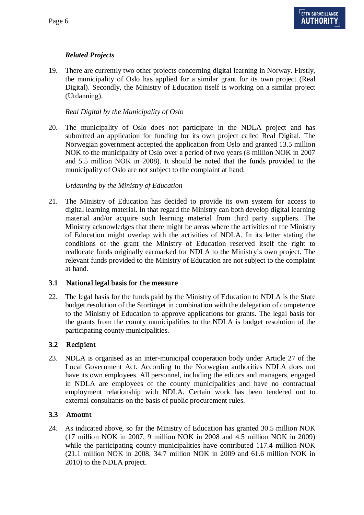### *Related Projects*

19. There are currently two other projects concerning digital learning in Norway. Firstly, the municipality of Oslo has applied for a similar grant for its own project (Real Digital). Secondly, the Ministry of Education itself is working on a similar project (Utdanning).

#### *Real Digital by the Municipality of Oslo*

20. The municipality of Oslo does not participate in the NDLA project and has submitted an application for funding for its own project called Real Digital. The Norwegian government accepted the application from Oslo and granted 13.5 million NOK to the municipality of Oslo over a period of two years (8 million NOK in 2007 and 5.5 million NOK in 2008). It should be noted that the funds provided to the municipality of Oslo are not subject to the complaint at hand.

#### *Utdanning by the Ministry of Education*

21. The Ministry of Education has decided to provide its own system for access to digital learning material. In that regard the Ministry can both develop digital learning material and/or acquire such learning material from third party suppliers. The Ministry acknowledges that there might be areas where the activities of the Ministry of Education might overlap with the activities of NDLA. In its letter stating the conditions of the grant the Ministry of Education reserved itself the right to reallocate funds originally earmarked for NDLA to the Ministry's own project. The relevant funds provided to the Ministry of Education are not subject to the complaint at hand.

### 3.1 National legal basis for the measure

22. The legal basis for the funds paid by the Ministry of Education to NDLA is the State budget resolution of the Stortinget in combination with the delegation of competence to the Ministry of Education to approve applications for grants. The legal basis for the grants from the county municipalities to the NDLA is budget resolution of the participating county municipalities.

### 3.2 Recipient

23. NDLA is organised as an inter-municipal cooperation body under Article 27 of the Local Government Act. According to the Norwegian authorities NDLA does not have its own employees. All personnel, including the editors and managers, engaged in NDLA are employees of the county municipalities and have no contractual employment relationship with NDLA. Certain work has been tendered out to external consultants on the basis of public procurement rules.

### 3.3 Amount

24. As indicated above, so far the Ministry of Education has granted 30.5 million NOK (17 million NOK in 2007, 9 million NOK in 2008 and 4.5 million NOK in 2009) while the participating county municipalities have contributed 117.4 million NOK (21.1 million NOK in 2008, 34.7 million NOK in 2009 and 61.6 million NOK in 2010) to the NDLA project.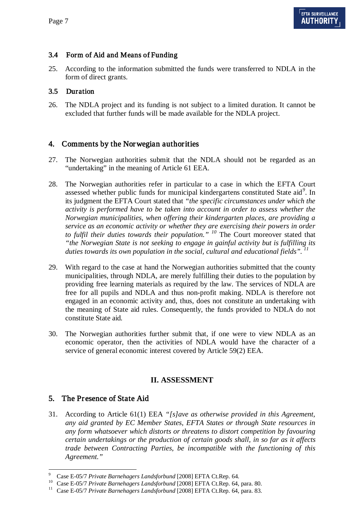### 3.4 Form of Aid and Means of Funding

25. According to the information submitted the funds were transferred to NDLA in the form of direct grants.

### 3.5 Duration

26. The NDLA project and its funding is not subject to a limited duration. It cannot be excluded that further funds will be made available for the NDLA project.

# 4. Comments by the Nor wegian authorities

- 27. The Norwegian authorities submit that the NDLA should not be regarded as an "undertaking" in the meaning of Article 61 EEA.
- 28. The Norwegian authorities refer in particular to a case in which the EFTA Court assessed whether public funds for municipal kindergartens constituted State aid*[9](#page-6-0)* . In its judgment the EFTA Court stated that *"the specific circumstances under which the activity is performed have to be taken into account in order to assess whether the Norwegian municipalities, when offering their kindergarten places, are providing a service as an economic activity or whether they are exercising their powers in order to fulfil their duties towards their population." [10](#page-6-1)* The Court moreover stated that *"the Norwegian State is not seeking to engage in gainful activity but is fulfilling its duties towards its own population in the social, cultural and educational fields". [11](#page-6-2)*
- 29. With regard to the case at hand the Norwegian authorities submitted that the county municipalities, through NDLA, are merely fulfilling their duties to the population by providing free learning materials as required by the law. The services of NDLA are free for all pupils and NDLA and thus non-profit making. NDLA is therefore not engaged in an economic activity and, thus, does not constitute an undertaking with the meaning of State aid rules. Consequently, the funds provided to NDLA do not constitute State aid.
- 30. The Norwegian authorities further submit that, if one were to view NDLA as an economic operator, then the activities of NDLA would have the character of a service of general economic interest covered by Article 59(2) EEA.

### **II. ASSESSMENT**

# 5. The Presence of State Aid

31. According to Article 61(1) EEA *"[s]ave as otherwise provided in this Agreement, any aid granted by EC Member States, EFTA States or through State resources in any form whatsoever which distorts or threatens to distort competition by favouring certain undertakings or the production of certain goods shall, in so far as it affects trade between Contracting Parties, be incompatible with the functioning of this Agreement."*

<span id="page-6-2"></span><span id="page-6-1"></span>

<span id="page-6-0"></span><sup>&</sup>lt;sup>9</sup> Case E-05/7 *Private Barnehagers Landsforbund* [2008] EFTA Ct.Rep. 64.<br><sup>10</sup> Case E-05/7 *Private Barnehagers Landsforbund* [2008] EFTA Ct.Rep. 64, para. 80.<br><sup>11</sup> Case E-05/7 *Private Barnehagers Landsforbund* [2008] E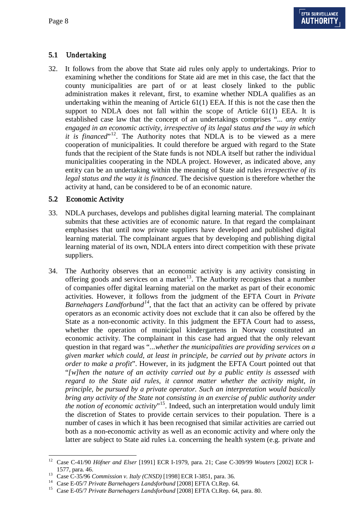# 5.1 Undertaking

32. It follows from the above that State aid rules only apply to undertakings. Prior to examining whether the conditions for State aid are met in this case, the fact that the county municipalities are part of or at least closely linked to the public administration makes it relevant, first, to examine whether NDLA qualifies as an undertaking within the meaning of Article 61(1) EEA. If this is not the case then the support to NDLA does not fall within the scope of Article 61(1) EEA. It is established case law that the concept of an undertakings comprises "... *any entity engaged in an economic activity, irrespective of its legal status and the way in which it is financed*<sup> $n+12$  $n+12$ </sup>. The Authority notes that NDLA is to be viewed as a mere cooperation of municipalities. It could therefore be argued with regard to the State funds that the recipient of the State funds is not NDLA itself but rather the individual municipalities cooperating in the NDLA project. However, as indicated above, any entity can be an undertaking within the meaning of State aid rules *irrespective of its legal status and the way it is financed*. The decisive question is therefore whether the activity at hand, can be considered to be of an economic nature.

## 5.2 Economic Activity

- 33. NDLA purchases, develops and publishes digital learning material. The complainant submits that these activities are of economic nature. In that regard the complainant emphasises that until now private suppliers have developed and published digital learning material. The complainant argues that by developing and publishing digital learning material of its own, NDLA enters into direct competition with these private suppliers.
- <span id="page-7-4"></span>34. The Authority observes that an economic activity is any activity consisting in offering goods and services on a market<sup>[13](#page-7-1)</sup>. The Authority recognises that a number of companies offer digital learning material on the market as part of their economic activities. However, it follows from the judgment of the EFTA Court in *Private Barnehagers Landforbund[14](#page-7-2)*, that the fact that an activity can be offered by private operators as an economic activity does not exclude that it can also be offered by the State as a non-economic activity. In this judgment the EFTA Court had to assess, whether the operation of municipal kindergartens in Norway constituted an economic activity. The complainant in this case had argued that the only relevant question in that regard was "...*whether the municipalities are providing services on a given market which could, at least in principle, be carried out by private actors in order to make a profit*". However, in its judgment the EFTA Court pointed out that "*[w]hen the nature of an activity carried out by a public entity is assessed with*  regard to the State aid rules, it cannot matter whether the activity might, in *principle, be pursued by a private operator. Such an interpretation would basically bring any activity of the State not consisting in an exercise of public authority under*  the notion of economic activity"<sup>[15](#page-7-3)</sup>. Indeed, such an interpretation would unduly limit the discretion of States to provide certain services to their population. There is a number of cases in which it has been recognised that similar activities are carried out both as a non-economic activity as well as an economic activity and where only the latter are subject to State aid rules i.a. concerning the health system (e.g. private and

<span id="page-7-0"></span> <sup>12</sup> Case C-41/90 *Höfner and Elser* [1991] ECR I-1979, para. 21; Case C-309/99 *Wouters* [2002] ECR I-1577, para. 46.<br>
<sup>13</sup> Case C-35/96 *Commission v. Italy (CNSD)* [1998] ECR I-3851, para. 36.

<span id="page-7-3"></span><span id="page-7-2"></span>

<span id="page-7-1"></span><sup>&</sup>lt;sup>14</sup> Case E-05/7 *Private Barnehagers Landsforbund* [2008] EFTA Ct.Rep. 64.<br><sup>15</sup> Case E-05/7 *Private Barnehagers Landsforbund* [2008] EFTA Ct.Rep. 64, para. 80.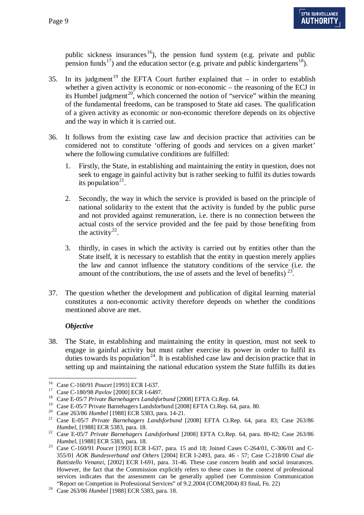public sickness insurances<sup>16</sup>), the pension fund system (e.g. private and public pension funds<sup>[17](#page-8-1)</sup>) and the education sector (e.g. private and public kindergartens<sup>[18](#page-8-2)</sup>).

- 35. In its judgment<sup>[19](#page-8-3)</sup> the EFTA Court further explained that  $-$  in order to establish whether a given activity is economic or non-economic – the reasoning of the ECJ in its Humbel judgment<sup>[20](#page-8-4)</sup>, which concerned the notion of "service" within the meaning of the fundamental freedoms, can be transposed to State aid cases. The qualification of a given activity as economic or non-economic therefore depends on its objective and the way in which it is carried out.
- 36. It follows from the existing case law and decision practice that activities can be considered not to constitute 'offering of goods and services on a given market' where the following cumulative conditions are fulfilled:
	- 1. Firstly, the State, in establishing and maintaining the entity in question, does not seek to engage in gainful activity but is rather seeking to fulfil its duties towards its population $21$ .
	- 2. Secondly, the way in which the service is provided is based on the principle of national solidarity to the extent that the activity is funded by the public purse and not provided against remuneration, i.e. there is no connection between the actual costs of the service provided and the fee paid by those benefiting from the activity<sup>[22](#page-8-6)</sup>.
	- 3. thirdly, in cases in which the activity is carried out by entities other than the State itself, it is necessary to establish that the entity in question merely applies the law and cannot influence the statutory conditions of the service (i.e. the amount of the contributions, the use of assets and the level of benefits)  $^{23}$  $^{23}$  $^{23}$ .
- 37. The question whether the development and publication of digital learning material constitutes a non-economic activity therefore depends on whether the conditions mentioned above are met.

### *Objective*

38. The State, in establishing and maintaining the entity in question, must not seek to engage in gainful activity but must rather exercise its power in order to fulfil its duties towards its population<sup>[24](#page-8-8)</sup>. It is established case law and decision practice that in setting up and maintaining the national education system the State fulfills its duties

<span id="page-8-1"></span><span id="page-8-0"></span><sup>&</sup>lt;sup>16</sup> Case C-160/91 *Poucet* [1993] ECR I-637.<br><sup>17</sup> Case C-180/98 *Pavlov* [2000] ECR I-6497.

<span id="page-8-2"></span><sup>&</sup>lt;sup>18</sup> Case E-05/7 *Private Barnehagers Landsforbund* [2008] EFTA Ct.Rep. 64.<br><sup>19</sup> Case E-05/7 Private Barnehagers Landsforbund [2008] EFTA Ct.Rep. 64. para. 80.

<span id="page-8-4"></span><span id="page-8-3"></span><sup>&</sup>lt;sup>20</sup> Case 263/86 Humbel [1988] ECR 5383, para. 14-21.<br><sup>21</sup> Case E-05/7 *Private Barnehagers Landsforbund* [2008] EFTA Ct.Rep. 64, para. 83; Case 263/86

<span id="page-8-5"></span>*Humbel*, [1988] ECR 5383, para. 18.<br><sup>22</sup> Case E-05/7 *Private Barnehagers Landsforbund* [2008] EFTA Ct.Rep. 64, para. 80-82; Case 263/86

<span id="page-8-7"></span><span id="page-8-6"></span>*Humbel*, [1988] ECR 5383, para. 18. <sup>23</sup> Case C-160/91 *Poucet* [1993] ECR I-637, para. 15 and 18; Joined Cases C-264/01, C-306/01 and C-355/01 *AOK Bundesverband and Others* [2004] ECR I-2493, para. 46 - 57; Case C-218/00 *Cisal die Battistello Venanzi*, [2002] ECR I-691, para. 31-46. These case concern health and social insurances. However, the fact that the Commission explicitly refers to these cases in the context of professional services indicates that the assessment can be generally applied (see Commission Communication "Report on Competion in Professional Services" of 9.2.2004 (COM(2004) 83 final, Fn. 22)

<span id="page-8-8"></span><sup>&</sup>lt;sup>24</sup> Case 263/86 *Humbel* [1988] ECR 5383, para. 18.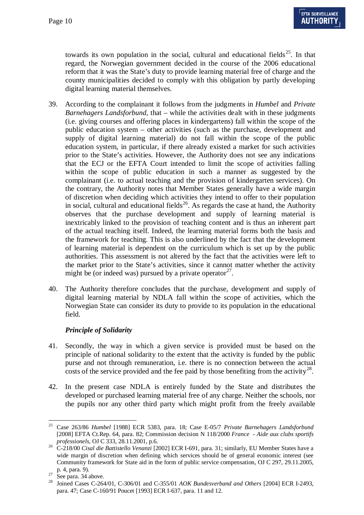towards its own population in the social, cultural and educational fields<sup>[25](#page-9-0)</sup>. In that regard, the Norwegian government decided in the course of the 2006 educational reform that it was the State's duty to provide learning material free of charge and the county municipalities decided to comply with this obligation by partly developing digital learning material themselves.

- 39. According to the complainant it follows from the judgments in *Humbel* and *Private Barnehagers Landsforbund,* that – while the activities dealt with in these judgments (i.e. giving courses and offering places in kindergartens) fall within the scope of the public education system – other activities (such as the purchase, development and supply of digital learning material) do not fall within the scope of the public education system, in particular, if there already existed a market for such activities prior to the State's activities. However, the Authority does not see any indications that the ECJ or the EFTA Court intended to limit the scope of activities falling within the scope of public education in such a manner as suggested by the complainant (i.e. to actual teaching and the provision of kindergarten services). On the contrary, the Authority notes that Member States generally have a wide margin of discretion when deciding which activities they intend to offer to their population in social, cultural and educational fields<sup>[26](#page-9-1)</sup>. As regards the case at hand, the Authority observes that the purchase development and supply of learning material is inextricably linked to the provision of teaching content and is thus an inherent part of the actual teaching itself. Indeed, the learning material forms both the basis and the framework for teaching. This is also underlined by the fact that the development of learning material is dependent on the curriculum which is set up by the public authorities. This assessment is not altered by the fact that the activities were left to the market prior to the State's activities, since it cannot matter whether the activity might be (or indeed was) pursued by a private operator $27$ .
- 40. The Authority therefore concludes that the purchase, development and supply of digital learning material by NDLA fall within the scope of activities, which the Norwegian State can consider its duty to provide to its population in the educational field.

### *Principle of Solidarity*

- 41. Secondly, the way in which a given service is provided must be based on the principle of national solidarity to the extent that the activity is funded by the public purse and not through remuneration, i.e. there is no connection between the actual costs of the service provided and the fee paid by those benefiting from the activity<sup>[28](#page-9-3)</sup>.
- 42. In the present case NDLA is entirely funded by the State and distributes the developed or purchased learning material free of any charge. Neither the schools, nor the pupils nor any other third party which might profit from the freely available

<span id="page-9-0"></span> <sup>25</sup> Case 263/86 *Humbel* [1988] ECR 5383, para. 18; Case E-05/7 *Private Barnehagers Landsforbund* [2008] EFTA Ct.Rep. 64, para. 82; Commission decision N 118/2000 *France - Aide aux clubs sportifs* 

<span id="page-9-1"></span>*professionels*, OJ C 333, 28.11.2001, p.6. 26 C-218/00 *Cisal die Battistello Venanzi* [2002] ECR I-691, para. 31; similarly, EU Member States have a wide margin of discretion when defining which services should be of general economic interest (see Community framework for State aid in the form of public service compensation, OJ C 297, 29.11.2005,

<span id="page-9-3"></span><span id="page-9-2"></span>

p. 4, para. 9). 27 See para. [34](#page-7-4) above. <sup>28</sup> Joined Cases C-264/01, C-306/01 and C-355/01 *AOK Bundesverband and Others* [2004] ECR I-2493, para. 47; Case C-160/91 Poucet [1993] ECR I-637, para. 11 and 12.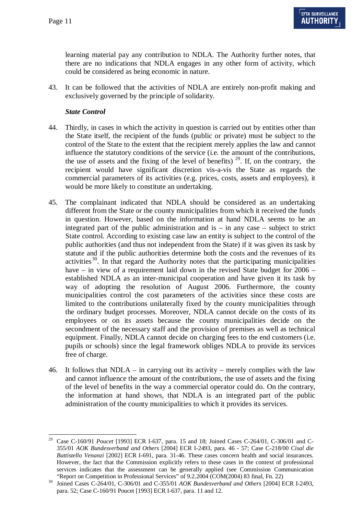learning material pay any contribution to NDLA. The Authority further notes, that there are no indications that NDLA engages in any other form of activity, which could be considered as being economic in nature.

43. It can be followed that the activities of NDLA are entirely non-profit making and exclusively governed by the principle of solidarity.

#### *State Control*

- 44. Thirdly, in cases in which the activity in question is carried out by entities other than the State itself, the recipient of the funds (public or private) must be subject to the control of the State to the extent that the recipient merely applies the law and cannot influence the statutory conditions of the service (i.e. the amount of the contributions, the use of assets and the fixing of the level of benefits)<sup>[29](#page-10-0)</sup>. If, on the contrary, the recipient would have significant discretion vis-a-vis the State as regards the commercial parameters of its activities (e.g. prices, costs, assets and employees), it would be more likely to constitute an undertaking.
- 45. The complainant indicated that NDLA should be considered as an undertaking different from the State or the county municipalities from which it received the funds in question. However, based on the information at hand NDLA seems to be an integrated part of the public administration and is – in any case – subject to strict State control. According to existing case law an entity is subject to the control of the public authorities (and thus not independent from the State) if it was given its task by statute and if the public authorities determine both the costs and the revenues of its activities<sup>[30](#page-10-1)</sup>. In that regard the Authority notes that the participating municipalities have – in view of a requirement laid down in the revised State budget for 2006 – established NDLA as an inter-municipal cooperation and have given it its task by way of adopting the resolution of August 2006. Furthermore, the county municipalities control the cost parameters of the activities since these costs are limited to the contributions unilaterally fixed by the county municipalities through the ordinary budget processes. Moreover, NDLA cannot decide on the costs of its employees or on its assets because the county municipalities decide on the secondment of the necessary staff and the provision of premises as well as technical equipment. Finally, NDLA cannot decide on charging fees to the end customers (i.e. pupils or schools) since the legal framework obliges NDLA to provide its services free of charge.
- 46. It follows that NDLA in carrying out its activity merely complies with the law and cannot influence the amount of the contributions, the use of assets and the fixing of the level of benefits in the way a commercial operator could do. On the contrary, the information at hand shows, that NDLA is an integrated part of the public administration of the county municipalities to which it provides its services.

<span id="page-10-0"></span> <sup>29</sup> Case C-160/91 *Poucet* [1993] ECR I-637, para. 15 and 18; Joined Cases C-264/01, C-306/01 and C-355/01 *AOK Bundesverband and Others* [2004] ECR I-2493, para. 46 - 57; Case C-218/00 *Cisal die Battistello Venanzi* [2002] ECR I-691, para. 31-46. These cases concern health and social insurances. However, the fact that the Commission explicitly refers to these cases in the context of professional services indicates that the assessment can be generally applied (see Commission Communication

<span id="page-10-1"></span><sup>&</sup>quot;Report on Competition in Professional Services" of 9.2.2004 (COM(2004) 83 final, Fn. 22) <sup>30</sup> Joined Cases C-264/01, C-306/01 and C-355/01 *AOK Bundesverband and Others* [2004] ECR I-2493, para. 52; Case C-160/91 Poucet [1993] ECR I-637, para. 11 and 12.